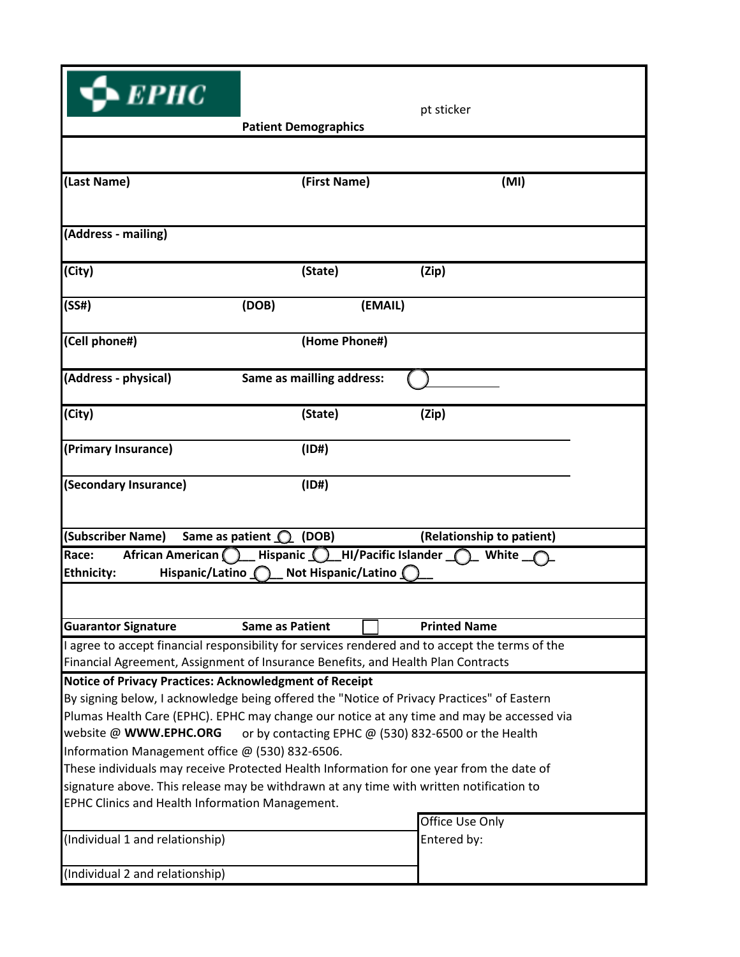| $\blacktriangleright$ $E$ $P$ $HC$                                  |                                                                                         | pt sticker                                                                                      |  |  |  |
|---------------------------------------------------------------------|-----------------------------------------------------------------------------------------|-------------------------------------------------------------------------------------------------|--|--|--|
|                                                                     | <b>Patient Demographics</b>                                                             |                                                                                                 |  |  |  |
|                                                                     |                                                                                         |                                                                                                 |  |  |  |
| (Last Name)                                                         | (First Name)                                                                            | (MI)                                                                                            |  |  |  |
| (Address - mailing)                                                 |                                                                                         |                                                                                                 |  |  |  |
| (City)                                                              | (State)                                                                                 | (Zip)                                                                                           |  |  |  |
| (SS#)                                                               | (DOB)                                                                                   | (EMAIL)                                                                                         |  |  |  |
| (Cell phone#)                                                       | (Home Phone#)                                                                           |                                                                                                 |  |  |  |
| (Address - physical)                                                | Same as mailling address:                                                               |                                                                                                 |  |  |  |
| (City)                                                              | (State)                                                                                 | (Zip)                                                                                           |  |  |  |
| (Primary Insurance)                                                 | (1D#)                                                                                   |                                                                                                 |  |  |  |
| (Secondary Insurance)                                               | (1D#)                                                                                   |                                                                                                 |  |  |  |
| (Subscriber Name)                                                   | Same as patient $\bigcirc$ (DOB)                                                        | (Relationship to patient)                                                                       |  |  |  |
| African American (<br>Race:<br>Hispanic/Latino<br><b>Ethnicity:</b> | Hispanic $\bigcap$<br>Not Hispanic/Latino (                                             | <b>HI/Pacific Islander</b> $\bigcap$<br>White                                                   |  |  |  |
|                                                                     |                                                                                         |                                                                                                 |  |  |  |
| <b>Guarantor Signature</b>                                          | <b>Same as Patient</b>                                                                  | <b>Printed Name</b>                                                                             |  |  |  |
|                                                                     | Financial Agreement, Assignment of Insurance Benefits, and Health Plan Contracts        | I agree to accept financial responsibility for services rendered and to accept the terms of the |  |  |  |
|                                                                     | Notice of Privacy Practices: Acknowledgment of Receipt                                  |                                                                                                 |  |  |  |
|                                                                     |                                                                                         | By signing below, I acknowledge being offered the "Notice of Privacy Practices" of Eastern      |  |  |  |
|                                                                     |                                                                                         | Plumas Health Care (EPHC). EPHC may change our notice at any time and may be accessed via       |  |  |  |
| website @ WWW.EPHC.ORG                                              |                                                                                         | or by contacting EPHC @ (530) 832-6500 or the Health                                            |  |  |  |
| Information Management office @ (530) 832-6506.                     |                                                                                         |                                                                                                 |  |  |  |
|                                                                     |                                                                                         | These individuals may receive Protected Health Information for one year from the date of        |  |  |  |
| EPHC Clinics and Health Information Management.                     | signature above. This release may be withdrawn at any time with written notification to |                                                                                                 |  |  |  |
|                                                                     |                                                                                         | Office Use Only                                                                                 |  |  |  |
| (Individual 1 and relationship)                                     |                                                                                         | Entered by:                                                                                     |  |  |  |
| (Individual 2 and relationship)                                     |                                                                                         |                                                                                                 |  |  |  |